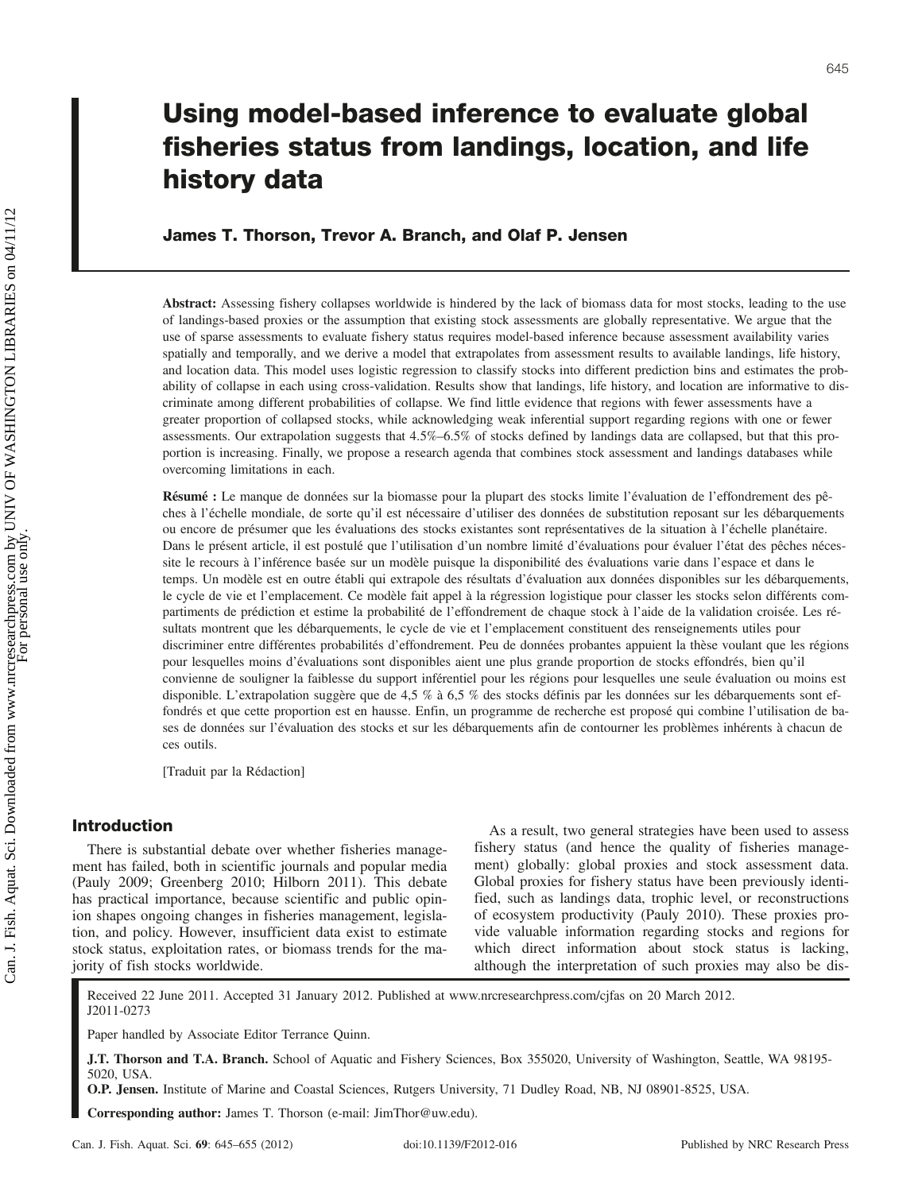# Using model-based inference to evaluate global fisheries status from landings, location, and life history data

# James T. Thorson, Trevor A. Branch, and Olaf P. Jensen

Abstract: Assessing fishery collapses worldwide is hindered by the lack of biomass data for most stocks, leading to the use of landings-based proxies or the assumption that existing stock assessments are globally representative. We argue that the use of sparse assessments to evaluate fishery status requires model-based inference because assessment availability varies spatially and temporally, and we derive a model that extrapolates from assessment results to available landings, life history, and location data. This model uses logistic regression to classify stocks into different prediction bins and estimates the probability of collapse in each using cross-validation. Results show that landings, life history, and location are informative to discriminate among different probabilities of collapse. We find little evidence that regions with fewer assessments have a greater proportion of collapsed stocks, while acknowledging weak inferential support regarding regions with one or fewer assessments. Our extrapolation suggests that 4.5%–6.5% of stocks defined by landings data are collapsed, but that this proportion is increasing. Finally, we propose a research agenda that combines stock assessment and landings databases while overcoming limitations in each.

Résumé : Le manque de données sur la biomasse pour la plupart des stocks limite l'évaluation de l'effondrement des pêches à l'échelle mondiale, de sorte qu'il est nécessaire d'utiliser des données de substitution reposant sur les débarquements ou encore de présumer que les évaluations des stocks existantes sont représentatives de la situation à l'échelle planétaire. Dans le présent article, il est postulé que l'utilisation d'un nombre limité d'évaluations pour évaluer l'état des pêches nécessite le recours à l'inférence basée sur un modèle puisque la disponibilité des évaluations varie dans l'espace et dans le temps. Un modèle est en outre établi qui extrapole des résultats d'évaluation aux données disponibles sur les débarquements, le cycle de vie et l'emplacement. Ce modèle fait appel à la régression logistique pour classer les stocks selon différents compartiments de prédiction et estime la probabilité de l'effondrement de chaque stock à l'aide de la validation croisée. Les résultats montrent que les débarquements, le cycle de vie et l'emplacement constituent des renseignements utiles pour discriminer entre différentes probabilités d'effondrement. Peu de données probantes appuient la thèse voulant que les régions pour lesquelles moins d'évaluations sont disponibles aient une plus grande proportion de stocks effondrés, bien qu'il convienne de souligner la faiblesse du support inférentiel pour les régions pour lesquelles une seule évaluation ou moins est disponible. L'extrapolation suggère que de 4,5 % à 6,5 % des stocks définis par les données sur les débarquements sont effondrés et que cette proportion est en hausse. Enfin, un programme de recherche est proposé qui combine l'utilisation de bases de données sur l'évaluation des stocks et sur les débarquements afin de contourner les problèmes inhérents à chacun de ces outils.

[Traduit par la Rédaction]

## Introduction

There is substantial debate over whether fisheries management has failed, both in scientific journals and popular media (Pauly 2009; Greenberg 2010; Hilborn 2011). This debate has practical importance, because scientific and public opinion shapes ongoing changes in fisheries management, legislation, and policy. However, insufficient data exist to estimate stock status, exploitation rates, or biomass trends for the majority of fish stocks worldwide.

As a result, two general strategies have been used to assess fishery status (and hence the quality of fisheries management) globally: global proxies and stock assessment data. Global proxies for fishery status have been previously identified, such as landings data, trophic level, or reconstructions of ecosystem productivity (Pauly 2010). These proxies provide valuable information regarding stocks and regions for which direct information about stock status is lacking, although the interpretation of such proxies may also be dis-

Received 22 June 2011. Accepted 31 January 2012. Published at www.nrcresearchpress.com/cjfas on 20 March 2012. J2011-0273

Paper handled by Associate Editor Terrance Quinn.

J.T. Thorson and T.A. Branch. School of Aquatic and Fishery Sciences, Box 355020, University of Washington, Seattle, WA 98195-5020, USA.

O.P. Jensen. Institute of Marine and Coastal Sciences, Rutgers University, 71 Dudley Road, NB, NJ 08901-8525, USA.

Corresponding author: James T. Thorson (e-mail: JimThor@uw.edu).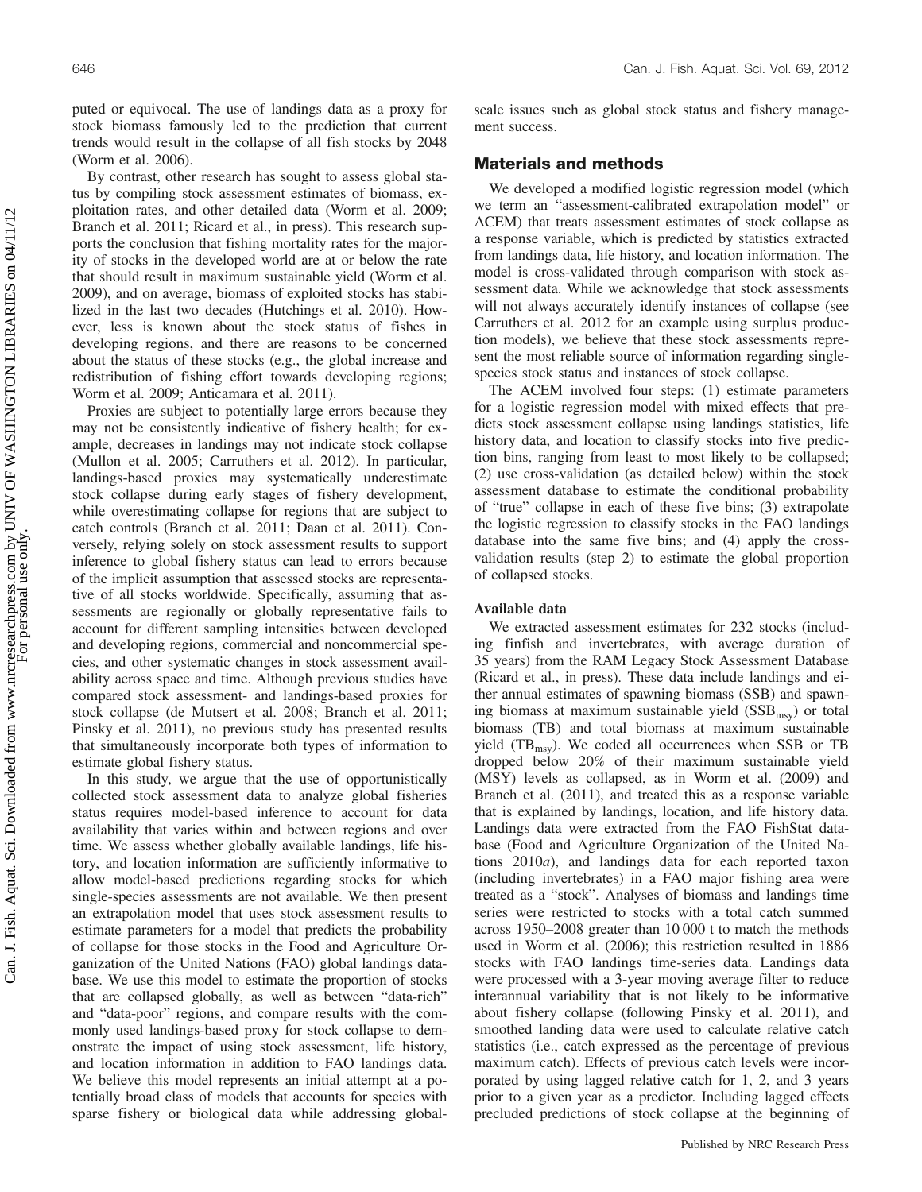puted or equivocal. The use of landings data as a proxy for stock biomass famously led to the prediction that current trends would result in the collapse of all fish stocks by 2048 (Worm et al. 2006).

By contrast, other research has sought to assess global status by compiling stock assessment estimates of biomass, exploitation rates, and other detailed data (Worm et al. 2009; Branch et al. 2011; Ricard et al., in press). This research supports the conclusion that fishing mortality rates for the majority of stocks in the developed world are at or below the rate that should result in maximum sustainable yield (Worm et al. 2009), and on average, biomass of exploited stocks has stabilized in the last two decades (Hutchings et al. 2010). However, less is known about the stock status of fishes in developing regions, and there are reasons to be concerned about the status of these stocks (e.g., the global increase and redistribution of fishing effort towards developing regions; Worm et al. 2009; Anticamara et al. 2011).

Proxies are subject to potentially large errors because they may not be consistently indicative of fishery health; for example, decreases in landings may not indicate stock collapse (Mullon et al. 2005; Carruthers et al. 2012). In particular, landings-based proxies may systematically underestimate stock collapse during early stages of fishery development, while overestimating collapse for regions that are subject to catch controls (Branch et al. 2011; Daan et al. 2011). Conversely, relying solely on stock assessment results to support inference to global fishery status can lead to errors because of the implicit assumption that assessed stocks are representative of all stocks worldwide. Specifically, assuming that assessments are regionally or globally representative fails to account for different sampling intensities between developed and developing regions, commercial and noncommercial species, and other systematic changes in stock assessment availability across space and time. Although previous studies have compared stock assessment- and landings-based proxies for stock collapse (de Mutsert et al. 2008; Branch et al. 2011; Pinsky et al. 2011), no previous study has presented results that simultaneously incorporate both types of information to estimate global fishery status.

In this study, we argue that the use of opportunistically collected stock assessment data to analyze global fisheries status requires model-based inference to account for data availability that varies within and between regions and over time. We assess whether globally available landings, life history, and location information are sufficiently informative to allow model-based predictions regarding stocks for which single-species assessments are not available. We then present an extrapolation model that uses stock assessment results to estimate parameters for a model that predicts the probability of collapse for those stocks in the Food and Agriculture Organization of the United Nations (FAO) global landings database. We use this model to estimate the proportion of stocks that are collapsed globally, as well as between "data-rich" and "data-poor" regions, and compare results with the commonly used landings-based proxy for stock collapse to demonstrate the impact of using stock assessment, life history, and location information in addition to FAO landings data. We believe this model represents an initial attempt at a potentially broad class of models that accounts for species with sparse fishery or biological data while addressing globalscale issues such as global stock status and fishery management success.

## Materials and methods

We developed a modified logistic regression model (which we term an "assessment-calibrated extrapolation model" or ACEM) that treats assessment estimates of stock collapse as a response variable, which is predicted by statistics extracted from landings data, life history, and location information. The model is cross-validated through comparison with stock assessment data. While we acknowledge that stock assessments will not always accurately identify instances of collapse (see Carruthers et al. 2012 for an example using surplus production models), we believe that these stock assessments represent the most reliable source of information regarding singlespecies stock status and instances of stock collapse.

The ACEM involved four steps: (1) estimate parameters for a logistic regression model with mixed effects that predicts stock assessment collapse using landings statistics, life history data, and location to classify stocks into five prediction bins, ranging from least to most likely to be collapsed; (2) use cross-validation (as detailed below) within the stock assessment database to estimate the conditional probability of "true" collapse in each of these five bins; (3) extrapolate the logistic regression to classify stocks in the FAO landings database into the same five bins; and (4) apply the crossvalidation results (step 2) to estimate the global proportion of collapsed stocks.

#### Available data

We extracted assessment estimates for 232 stocks (including finfish and invertebrates, with average duration of 35 years) from the RAM Legacy Stock Assessment Database (Ricard et al., in press). These data include landings and either annual estimates of spawning biomass (SSB) and spawning biomass at maximum sustainable yield  $(SSB<sub>msy</sub>)$  or total biomass (TB) and total biomass at maximum sustainable yield  $(TB_{msy})$ . We coded all occurrences when SSB or TB dropped below 20% of their maximum sustainable yield (MSY) levels as collapsed, as in Worm et al. (2009) and Branch et al. (2011), and treated this as a response variable that is explained by landings, location, and life history data. Landings data were extracted from the FAO FishStat database (Food and Agriculture Organization of the United Nations 2010a), and landings data for each reported taxon (including invertebrates) in a FAO major fishing area were treated as a "stock". Analyses of biomass and landings time series were restricted to stocks with a total catch summed across 1950–2008 greater than 10 000 t to match the methods used in Worm et al. (2006); this restriction resulted in 1886 stocks with FAO landings time-series data. Landings data were processed with a 3-year moving average filter to reduce interannual variability that is not likely to be informative about fishery collapse (following Pinsky et al. 2011), and smoothed landing data were used to calculate relative catch statistics (i.e., catch expressed as the percentage of previous maximum catch). Effects of previous catch levels were incorporated by using lagged relative catch for 1, 2, and 3 years prior to a given year as a predictor. Including lagged effects precluded predictions of stock collapse at the beginning of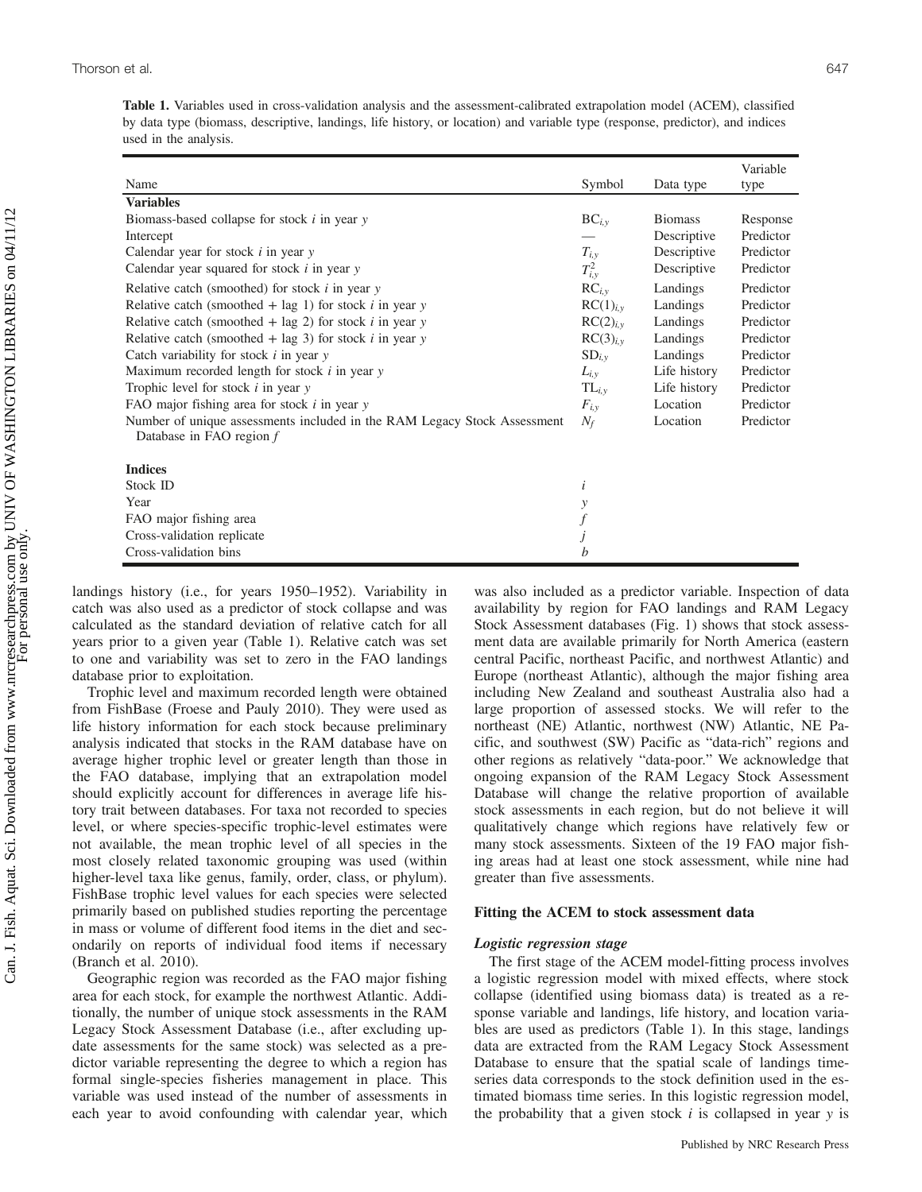Table 1. Variables used in cross-validation analysis and the assessment-calibrated extrapolation model (ACEM), classified by data type (biomass, descriptive, landings, life history, or location) and variable type (response, predictor), and indices used in the analysis.

| Name                                                                                                 | Symbol               | Data type      | Variable<br>type |
|------------------------------------------------------------------------------------------------------|----------------------|----------------|------------------|
| <b>Variables</b>                                                                                     |                      |                |                  |
| Biomass-based collapse for stock $i$ in year $y$                                                     | $BC_{i,y}$           | <b>Biomass</b> | Response         |
| Intercept                                                                                            |                      | Descriptive    | Predictor        |
| Calendar year for stock $i$ in year $y$                                                              | $T_{i,y}$            | Descriptive    | Predictor        |
| Calendar year squared for stock $i$ in year $y$                                                      | $T_{i,y}^2$          | Descriptive    | Predictor        |
| Relative catch (smoothed) for stock $i$ in year $y$                                                  | $RC_{i, v}$          | Landings       | Predictor        |
| Relative catch (smoothed + lag 1) for stock $i$ in year $y$                                          | RC(1) <sub>i,y</sub> | Landings       | Predictor        |
| Relative catch (smoothed $+$ lag 2) for stock <i>i</i> in year <i>y</i>                              | RC(2) <sub>iv</sub>  | Landings       | Predictor        |
| Relative catch (smoothed $+$ lag 3) for stock <i>i</i> in year <i>y</i>                              | RC(3) <sub>i,v</sub> | Landings       | Predictor        |
| Catch variability for stock $i$ in year $y$                                                          | $SD_{i,y}$           | Landings       | Predictor        |
| Maximum recorded length for stock $i$ in year $y$                                                    | $L_{i,y}$            | Life history   | Predictor        |
| Trophic level for stock $i$ in year $y$                                                              | $TL_{i, v}$          | Life history   | Predictor        |
| FAO major fishing area for stock $i$ in year $y$                                                     | $F_{i, v}$           | Location       | Predictor        |
| Number of unique assessments included in the RAM Legacy Stock Assessment<br>Database in FAO region f | $N_f$                | Location       | Predictor        |
| <b>Indices</b>                                                                                       |                      |                |                  |
| Stock ID                                                                                             | $\dot{i}$            |                |                  |
| Year                                                                                                 | y                    |                |                  |
| FAO major fishing area                                                                               |                      |                |                  |
| Cross-validation replicate                                                                           |                      |                |                  |
| Cross-validation bins                                                                                | h                    |                |                  |

landings history (i.e., for years 1950–1952). Variability in catch was also used as a predictor of stock collapse and was calculated as the standard deviation of relative catch for all years prior to a given year (Table 1). Relative catch was set to one and variability was set to zero in the FAO landings database prior to exploitation.

Trophic level and maximum recorded length were obtained from FishBase (Froese and Pauly 2010). They were used as life history information for each stock because preliminary analysis indicated that stocks in the RAM database have on average higher trophic level or greater length than those in the FAO database, implying that an extrapolation model should explicitly account for differences in average life history trait between databases. For taxa not recorded to species level, or where species-specific trophic-level estimates were not available, the mean trophic level of all species in the most closely related taxonomic grouping was used (within higher-level taxa like genus, family, order, class, or phylum). FishBase trophic level values for each species were selected primarily based on published studies reporting the percentage in mass or volume of different food items in the diet and secondarily on reports of individual food items if necessary (Branch et al. 2010).

Geographic region was recorded as the FAO major fishing area for each stock, for example the northwest Atlantic. Additionally, the number of unique stock assessments in the RAM Legacy Stock Assessment Database (i.e., after excluding update assessments for the same stock) was selected as a predictor variable representing the degree to which a region has formal single-species fisheries management in place. This variable was used instead of the number of assessments in each year to avoid confounding with calendar year, which was also included as a predictor variable. Inspection of data availability by region for FAO landings and RAM Legacy Stock Assessment databases (Fig. 1) shows that stock assessment data are available primarily for North America (eastern central Pacific, northeast Pacific, and northwest Atlantic) and Europe (northeast Atlantic), although the major fishing area including New Zealand and southeast Australia also had a large proportion of assessed stocks. We will refer to the northeast (NE) Atlantic, northwest (NW) Atlantic, NE Pacific, and southwest (SW) Pacific as "data-rich" regions and other regions as relatively "data-poor." We acknowledge that ongoing expansion of the RAM Legacy Stock Assessment Database will change the relative proportion of available stock assessments in each region, but do not believe it will qualitatively change which regions have relatively few or many stock assessments. Sixteen of the 19 FAO major fishing areas had at least one stock assessment, while nine had greater than five assessments.

#### Fitting the ACEM to stock assessment data

#### Logistic regression stage

The first stage of the ACEM model-fitting process involves a logistic regression model with mixed effects, where stock collapse (identified using biomass data) is treated as a response variable and landings, life history, and location variables are used as predictors (Table 1). In this stage, landings data are extracted from the RAM Legacy Stock Assessment Database to ensure that the spatial scale of landings timeseries data corresponds to the stock definition used in the estimated biomass time series. In this logistic regression model, the probability that a given stock  $i$  is collapsed in year  $y$  is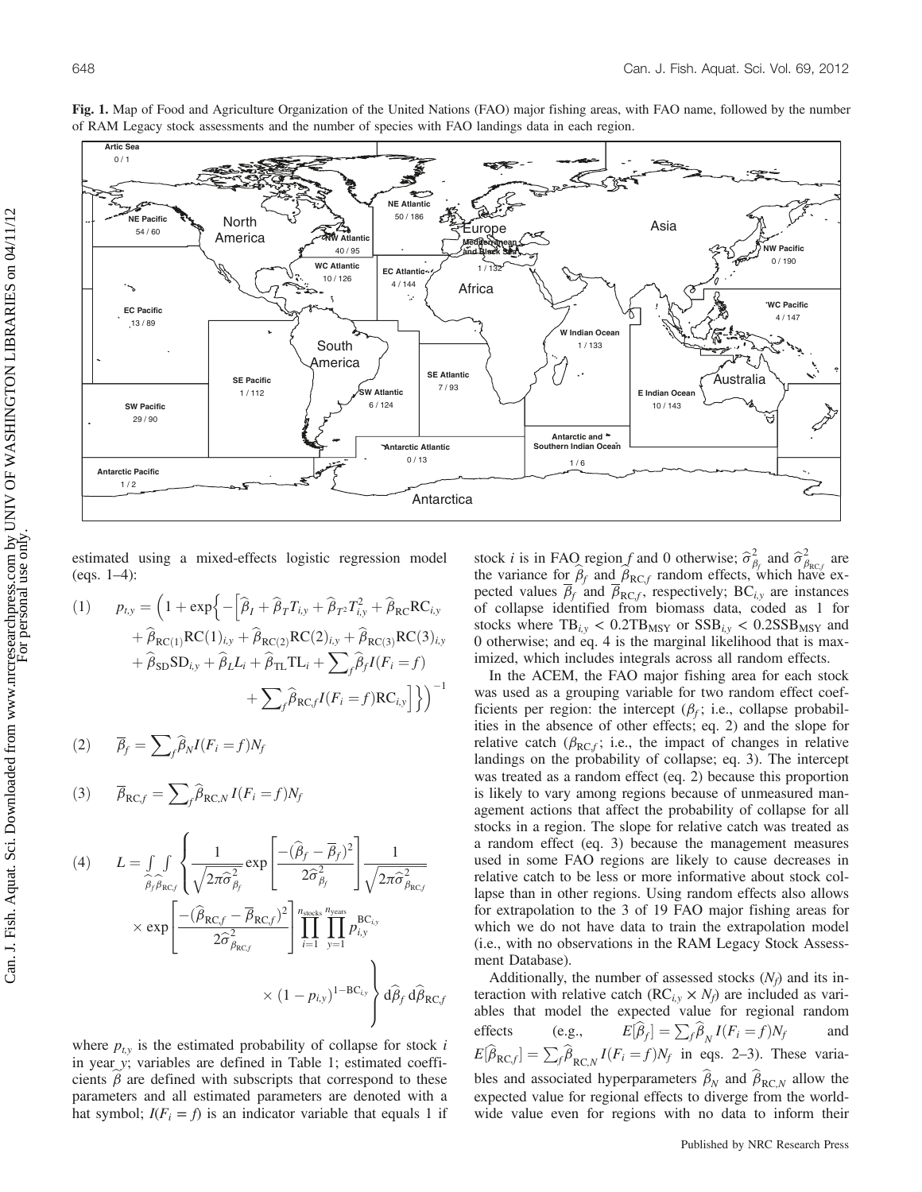

Fig. 1. Map of Food and Agriculture Organization of the United Nations (FAO) major fishing areas, with FAO name, followed by the number of RAM Legacy stock assessments and the number of species with FAO landings data in each region.

estimated using a mixed-effects logistic regression model (eqs. 1–4):

(1) 
$$
p_{t,y} = \left(1 + \exp\left\{-\left[\hat{\beta}_I + \hat{\beta}_T T_{i,y} + \hat{\beta}_{T^2} T_{i,y}^2 + \hat{\beta}_{RC} RC_{i,y}\right.\right.\left. + \hat{\beta}_{RC(1)} RC(1)_{i,y} + \hat{\beta}_{RC(2)} RC(2)_{i,y} + \hat{\beta}_{RC(3)} RC(3)_{i,y}\right.\left. + \hat{\beta}_{SD} SD_{i,y} + \hat{\beta}_L L_i + \hat{\beta}_{TL} TL_i + \sum_f \hat{\beta}_f I(F_i = f)\right.\left. + \sum_f \hat{\beta}_{RCf} I(F_i = f) RC_{i,y}\right]\right\}^{-1}
$$

$$
(2) \qquad \overline{\beta}_f = \sum_{f} \widehat{\beta}_N I(F_i = f) N_f
$$

$$
(3) \qquad \overline{\beta}_{\mathrm{RC},f} = \sum_{f} \widehat{\beta}_{\mathrm{RC},N} I(F_i = f) N_f
$$

$$
(4) \qquad L = \int_{\widehat{\beta}_{f} \widehat{\beta}_{RCf}} \left\{ \frac{1}{\sqrt{2\pi \widehat{\sigma}_{\beta_{f}}^{2}}} \exp\left[ \frac{-(\widehat{\beta}_{f} - \overline{\beta}_{f})^{2}}{2\widehat{\sigma}_{\beta_{f}}^{2}} \right] \frac{1}{\sqrt{2\pi \widehat{\sigma}_{\beta_{RCf}}^{2}}} \right\}
$$

$$
\times \exp\left[ \frac{-(\widehat{\beta}_{RCf} - \overline{\beta}_{RCf})^{2}}{2\widehat{\sigma}_{\beta_{RCf}}^{2}} \right] \prod_{i=1}^{n_{\text{stocks}}} \prod_{y=1}^{n_{\text{years}}} p_{i,y}^{BC_{i,y}}
$$

$$
\times (1 - p_{i,y})^{1 - BC_{i,y}} \right\} d\widehat{\beta}_{f} d\widehat{\beta}_{RCf}
$$

where  $p_{t,y}$  is the estimated probability of collapse for stock i in year y; variables are defined in Table 1; estimated coefficients  $\beta$  are defined with subscripts that correspond to these parameters and all estimated parameters are denoted with a hat symbol;  $I(F_i = f)$  is an indicator variable that equals 1 if

stock *i* is in FAO region f and 0 otherwise;  $\hat{\sigma}^2_{\beta}$  and  $\hat{\sigma}^2_{\beta}$  the vertice for  $\hat{\beta}$  and  $\hat{\beta}$  region of forts which has  $\int$  are the variance for  $\hat{\beta}_f$  and  $\hat{\beta}_{RC,f}$  random effects, which have expected values  $\beta_f$  and  $\beta_{RC,f}$ , respectively; BC<sub>i,y</sub> are instances of collapse identified from biomass data, coded as 1 for stocks where  $TB_{i,v} < 0.2TB_{MSY}$  or  $SSB_{i,v} < 0.2SSB_{MSY}$  and 0 otherwise; and eq. 4 is the marginal likelihood that is maximized, which includes integrals across all random effects.

In the ACEM, the FAO major fishing area for each stock was used as a grouping variable for two random effect coefficients per region: the intercept  $(\beta_f; i.e.,$  collapse probabilities in the absence of other effects; eq. 2) and the slope for relative catch ( $\beta_{RC,f}$ ; i.e., the impact of changes in relative landings on the probability of collapse; eq. 3). The intercept was treated as a random effect (eq. 2) because this proportion is likely to vary among regions because of unmeasured management actions that affect the probability of collapse for all stocks in a region. The slope for relative catch was treated as a random effect (eq. 3) because the management measures used in some FAO regions are likely to cause decreases in relative catch to be less or more informative about stock collapse than in other regions. Using random effects also allows for extrapolation to the 3 of 19 FAO major fishing areas for which we do not have data to train the extrapolation model (i.e., with no observations in the RAM Legacy Stock Assessment Database).

Additionally, the number of assessed stocks  $(N_f)$  and its interaction with relative catch  $(RC_{i,y} \times N_f)$  are included as variables that model the expected value for regional random effects (e.g.,  $E[\hat{\beta}_f] = \sum_f \hat{\beta}_N I(F_i = f) N_f$  and  $E[\widehat{\beta}_{\text{RC},f}] = \sum_{f} \widehat{\beta}_{\text{RC},N} I(F_i = f) N_f$  in eqs. 2–3). These variables and associated hyperparameters  $\hat{\beta}_N$  and  $\hat{\beta}_{RC,N}$  allow the expected value for regional effects to diverge from the worldwide value even for regions with no data to inform their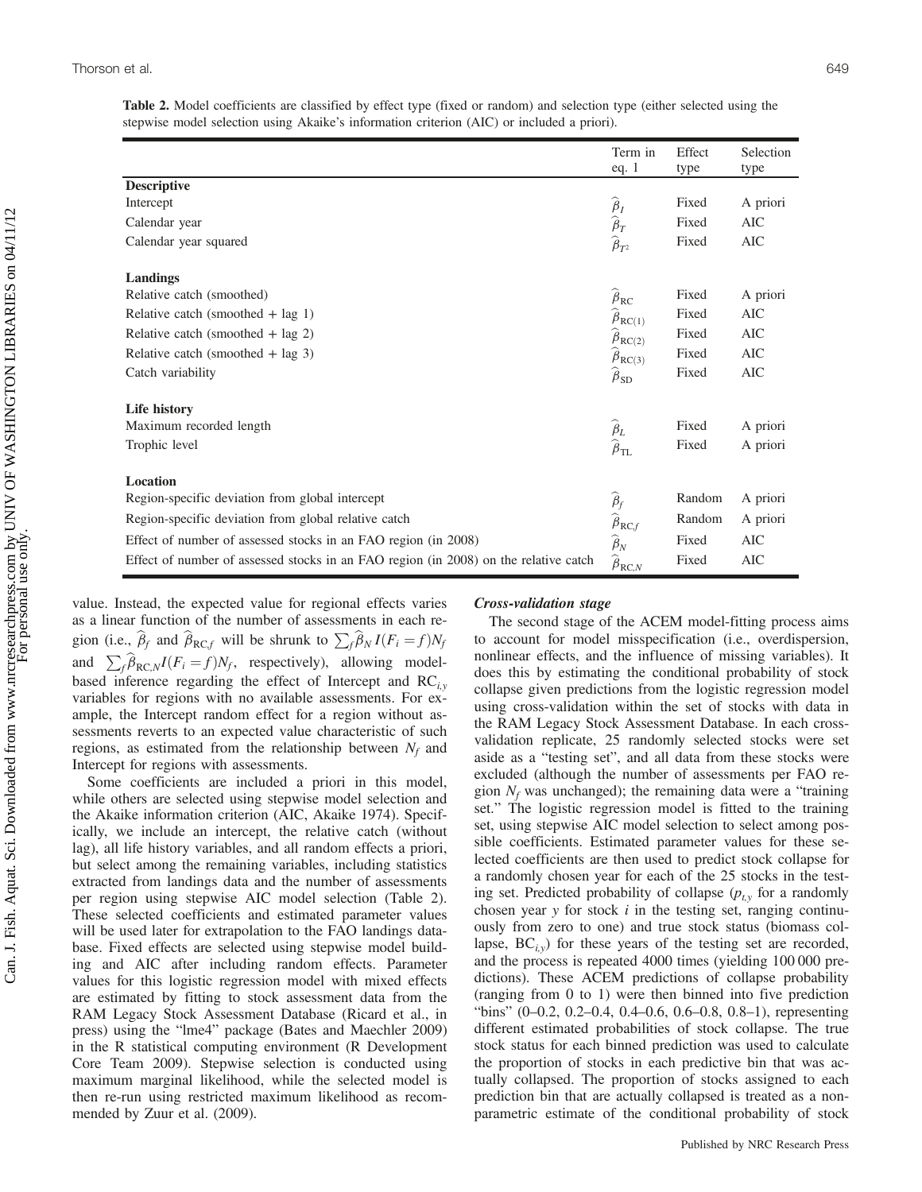| Table 2. Model coefficients are classified by effect type (fixed or random) and selection type (either selected using the |  |  |  |  |  |  |
|---------------------------------------------------------------------------------------------------------------------------|--|--|--|--|--|--|
| stepwise model selection using Akaike's information criterion (AIC) or included a priori).                                |  |  |  |  |  |  |

|                                                                                      | Term in<br>eq. $1$                                                                                                                       | Effect<br>type | Selection<br>type |
|--------------------------------------------------------------------------------------|------------------------------------------------------------------------------------------------------------------------------------------|----------------|-------------------|
| <b>Descriptive</b>                                                                   |                                                                                                                                          |                |                   |
| Intercept                                                                            |                                                                                                                                          | Fixed          | A priori          |
| Calendar year                                                                        |                                                                                                                                          | Fixed          | AIC               |
| Calendar year squared                                                                | $\begin{matrix} \widehat{\boldsymbol{\beta}}_{I} \\ \widehat{\boldsymbol{\beta}}_{T} \\ \widehat{\boldsymbol{\beta}}_{T^2} \end{matrix}$ | Fixed          | <b>AIC</b>        |
| Landings                                                                             |                                                                                                                                          |                |                   |
| Relative catch (smoothed)                                                            | $\widehat{\boldsymbol{\beta}}_{\text{RC}}$                                                                                               | Fixed          | A priori          |
| Relative catch (smoothed $+$ lag 1)                                                  | $\hat{\beta}_{RC(1)}$                                                                                                                    | Fixed          | AIC               |
| Relative catch (smoothed $+$ lag 2)                                                  | $\widehat{\beta}_{RC(2)}$                                                                                                                | Fixed          | AIC               |
| Relative catch (smoothed $+$ lag 3)                                                  | $\beta_{RC(3)}$                                                                                                                          | Fixed          | AIC               |
| Catch variability                                                                    | $\hat{\beta}_{SD}$                                                                                                                       | Fixed          | <b>AIC</b>        |
| Life history                                                                         |                                                                                                                                          |                |                   |
| Maximum recorded length                                                              |                                                                                                                                          | Fixed          | A priori          |
| Trophic level                                                                        | $\widehat{\underset{\beta_\text{TL}}{\beta}}$                                                                                            | Fixed          | A priori          |
| <b>Location</b>                                                                      |                                                                                                                                          |                |                   |
| Region-specific deviation from global intercept                                      |                                                                                                                                          | Random         | A priori          |
| Region-specific deviation from global relative catch                                 | $\widehat{\beta}_{f}$ $\widehat{\widehat{\beta}}_{\mathrm{RC},f}$                                                                        | Random         | A priori          |
| Effect of number of assessed stocks in an FAO region (in 2008)                       | $\widehat{\beta}_N$                                                                                                                      | Fixed          | AIC               |
| Effect of number of assessed stocks in an FAO region (in 2008) on the relative catch | $\widehat{\beta}_{\text{RC},N}$                                                                                                          | Fixed          | AIC               |

value. Instead, the expected value for regional effects varies as a linear function of the number of assessments in each region (i.e.,  $\hat{\beta}_f$  and  $\hat{\beta}_{RC,f}$  will be shrunk to  $\sum_f \hat{\beta}_N I(F_i = f)N_f$ and  $\sum_{f} \widehat{\beta}_{\text{RC},N} I(F_i = f) N_f$ , respectively), allowing modelbased inference regarding the effect of Intercept and  $RC_{i,v}$ variables for regions with no available assessments. For example, the Intercept random effect for a region without assessments reverts to an expected value characteristic of such regions, as estimated from the relationship between  $N_f$  and Intercept for regions with assessments.

Some coefficients are included a priori in this model, while others are selected using stepwise model selection and the Akaike information criterion (AIC, Akaike 1974). Specifically, we include an intercept, the relative catch (without lag), all life history variables, and all random effects a priori, but select among the remaining variables, including statistics extracted from landings data and the number of assessments per region using stepwise AIC model selection (Table 2). These selected coefficients and estimated parameter values will be used later for extrapolation to the FAO landings database. Fixed effects are selected using stepwise model building and AIC after including random effects. Parameter values for this logistic regression model with mixed effects are estimated by fitting to stock assessment data from the RAM Legacy Stock Assessment Database (Ricard et al., in press) using the "lme4" package (Bates and Maechler 2009) in the R statistical computing environment (R Development Core Team 2009). Stepwise selection is conducted using maximum marginal likelihood, while the selected model is then re-run using restricted maximum likelihood as recommended by Zuur et al. (2009).

## Cross-validation stage

The second stage of the ACEM model-fitting process aims to account for model misspecification (i.e., overdispersion, nonlinear effects, and the influence of missing variables). It does this by estimating the conditional probability of stock collapse given predictions from the logistic regression model using cross-validation within the set of stocks with data in the RAM Legacy Stock Assessment Database. In each crossvalidation replicate, 25 randomly selected stocks were set aside as a "testing set", and all data from these stocks were excluded (although the number of assessments per FAO region  $N_f$  was unchanged); the remaining data were a "training set." The logistic regression model is fitted to the training set, using stepwise AIC model selection to select among possible coefficients. Estimated parameter values for these selected coefficients are then used to predict stock collapse for a randomly chosen year for each of the 25 stocks in the testing set. Predicted probability of collapse  $(p_{t,y}$  for a randomly chosen year  $y$  for stock  $i$  in the testing set, ranging continuously from zero to one) and true stock status (biomass collapse,  $BC_{i,y}$ ) for these years of the testing set are recorded, and the process is repeated 4000 times (yielding 100 000 predictions). These ACEM predictions of collapse probability (ranging from 0 to 1) were then binned into five prediction "bins" (0–0.2, 0.2–0.4, 0.4–0.6, 0.6–0.8, 0.8–1), representing different estimated probabilities of stock collapse. The true stock status for each binned prediction was used to calculate the proportion of stocks in each predictive bin that was actually collapsed. The proportion of stocks assigned to each prediction bin that are actually collapsed is treated as a nonparametric estimate of the conditional probability of stock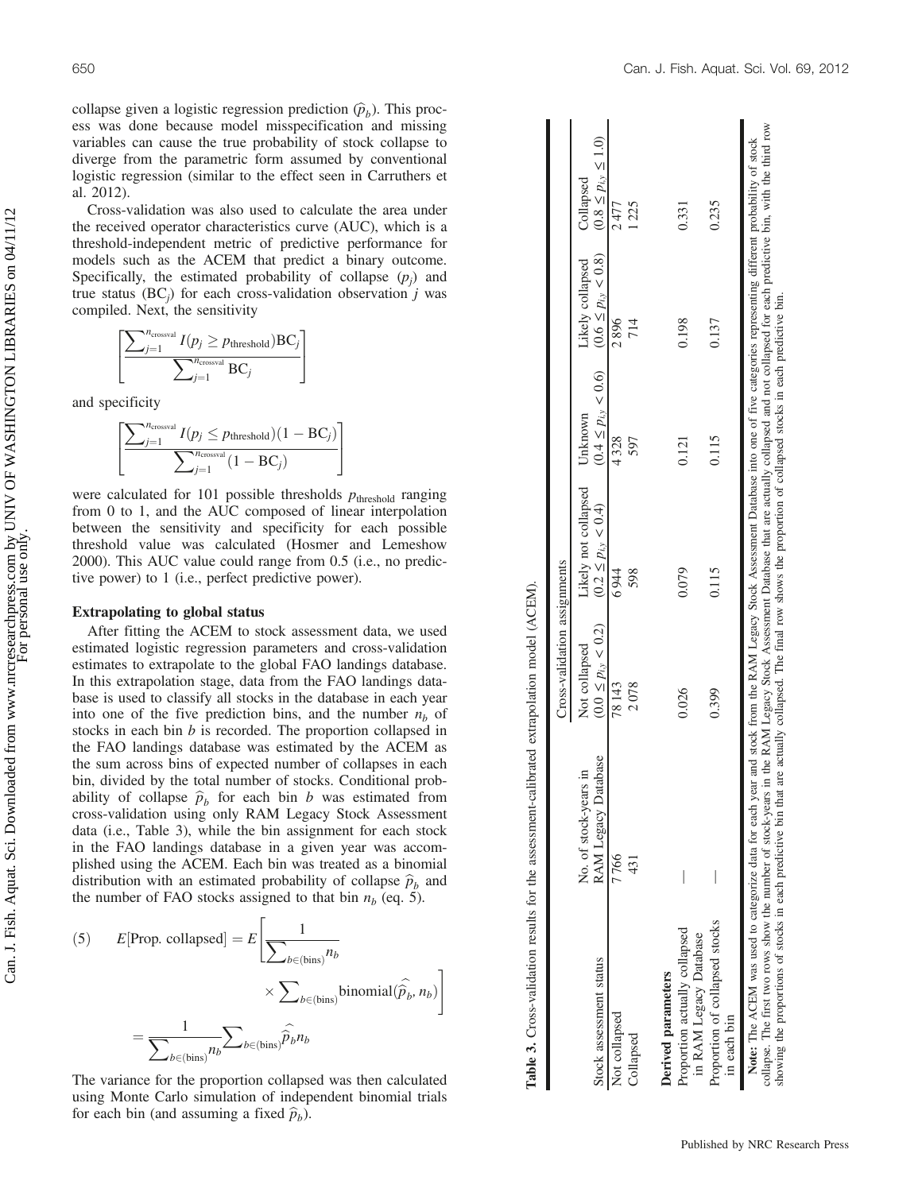collapse given a logistic regression prediction  $(\hat{p}_b)$ . This process was done because model misspecification and missing variables can cause the true probability of stock collapse to diverge from the parametric form assumed by conventional logistic regression (similar to the effect seen in Carruthers et al. 2012).

Cross-validation was also used to calculate the area under the received operator characteristics curve (AUC), which is a threshold-independent metric of predictive performance for models such as the ACEM that predict a binary outcome. Specifically, the estimated probability of collapse  $(p_i)$  and true status (BC<sub>i</sub>) for each cross-validation observation j was compiled. Next, the sensitivity

$$
\left[ \frac{\sum_{j=1}^{n_{\text{crossval}}} I(p_j \ge p_{\text{threshold}}) \text{BC}_j}{\sum_{j=1}^{n_{\text{crossval}}} \text{BC}_j} \right]
$$

and specificity

$$
\left[ \frac{\sum_{j=1}^{n_{\text{crossval}}} I(p_j \leq p_{\text{threshold}})(1 - BC_j)}{\sum_{j=1}^{n_{\text{crossval}}}(1 - BC_j)} \right]
$$

were calculated for 101 possible thresholds  $p_{\text{threshold}}$  ranging from 0 to 1, and the AUC composed of linear interpolation between the sensitivity and specificity for each possible threshold value was calculated (Hosmer and Lemeshow 2000). This AUC value could range from 0.5 (i.e., no predictive power) to 1 (i.e., perfect predictive power).

### Extrapolating to global status

After fitting the ACEM to stock assessment data, we used estimated logistic regression parameters and cross-validation estimates to extrapolate to the global FAO landings database. In this extrapolation stage, data from the FAO landings database is used to classify all stocks in the database in each year into one of the five prediction bins, and the number  $n<sub>b</sub>$  of stocks in each bin  $b$  is recorded. The proportion collapsed in the FAO landings database was estimated by the ACEM as the sum across bins of expected number of collapses in each bin, divided by the total number of stocks. Conditional probability of collapse  $\hat{p}_b$  for each bin b was estimated from cross-validation using only RAM Legacy Stock Assessment data (i.e., Table 3), while the bin assignment for each stock in the FAO landings database in a given year was accomplished using the ACEM. Each bin was treated as a binomial distribution with an estimated probability of collapse  $\hat{p}_b$  and the number of FAO stocks assigned to that bin  $n_b$  (eq. 5).

(5) 
$$
E[\text{Prop. collapsed}] = E\left[\frac{1}{\sum_{b \in \text{(bins)}} n_b} \times \sum_{b \in \text{(bins)}} \text{binomial}(\widehat{\hat{p}_b}, n_b)\right]
$$

$$
= \frac{1}{\sum_{b \in \text{(bins)}} n_b} \sum_{b \in \text{(bins)}} \widehat{\hat{p}_b} n_b
$$

The variance for the proportion collapsed was then calculated using Monte Carlo simulation of independent binomial trials for each bin (and assuming a fixed  $\hat{p}_b$ ).

|                                                                                                                                                                                                                                                                                                                                                                                                                                                                |                                              | Cross-validation assignments               |                                                                                                        |                                                                |                  |                                          |
|----------------------------------------------------------------------------------------------------------------------------------------------------------------------------------------------------------------------------------------------------------------------------------------------------------------------------------------------------------------------------------------------------------------------------------------------------------------|----------------------------------------------|--------------------------------------------|--------------------------------------------------------------------------------------------------------|----------------------------------------------------------------|------------------|------------------------------------------|
| Stock assessment status                                                                                                                                                                                                                                                                                                                                                                                                                                        | RAM Legacy Database<br>No. of stock-years in | $(0.0 \le p_{i,y} < 0.2)$<br>Not collapsed | Likely not collapsed<br>$(0.2 \le p_{i,y} < 0.4)$                                                      | $(0.4 \le p_{i,y} < 0.6)$ $(0.6 \le p_{i,y} < 0.8)$<br>Unknown | Likely collapsed | $(0.8 \le p_{i,y} \le 1.0)$<br>Collapsed |
| Not collapsed                                                                                                                                                                                                                                                                                                                                                                                                                                                  | 7766                                         | 78143                                      | 6944                                                                                                   | 4328                                                           | 2896             | 2477                                     |
| Collapsed                                                                                                                                                                                                                                                                                                                                                                                                                                                      | 431                                          | 2078                                       | 598                                                                                                    | 597                                                            | 714              | 1225                                     |
| Derived parameters                                                                                                                                                                                                                                                                                                                                                                                                                                             |                                              |                                            |                                                                                                        |                                                                |                  |                                          |
| Proportion actually collapsed<br>in RAM Legacy Database                                                                                                                                                                                                                                                                                                                                                                                                        |                                              | 0.026                                      | 0.079                                                                                                  | 0.121                                                          | 0.198            | 0.331                                    |
| Proportion of collapsed stocks<br>in each bin                                                                                                                                                                                                                                                                                                                                                                                                                  |                                              | 0.399                                      | 0.115                                                                                                  | 0.115                                                          | 0.137            | 0.235                                    |
| collapse. The first two rows show the number of stock-years in the RAM Legacy Stock Assessment Database that are actually collapsed and not collapsed for each predictive bin, with the third row<br>Note: The ACEM was used to categorize data for each year and stock from the RAM Legacy Stock Assessment Database into one of five categories representing different probability of stock<br>showing the proportions of stocks in each predictive bin that |                                              |                                            | are actually collapsed. The final row shows the proportion of collapsed stocks in each predictive bin. |                                                                |                  |                                          |

Table 3. Cross-validation results for the assessment-calibrated extrapolation model (ACEM).

Table 3. Cross-validation results for the assessment-calibrated extrapolation model (ACEM).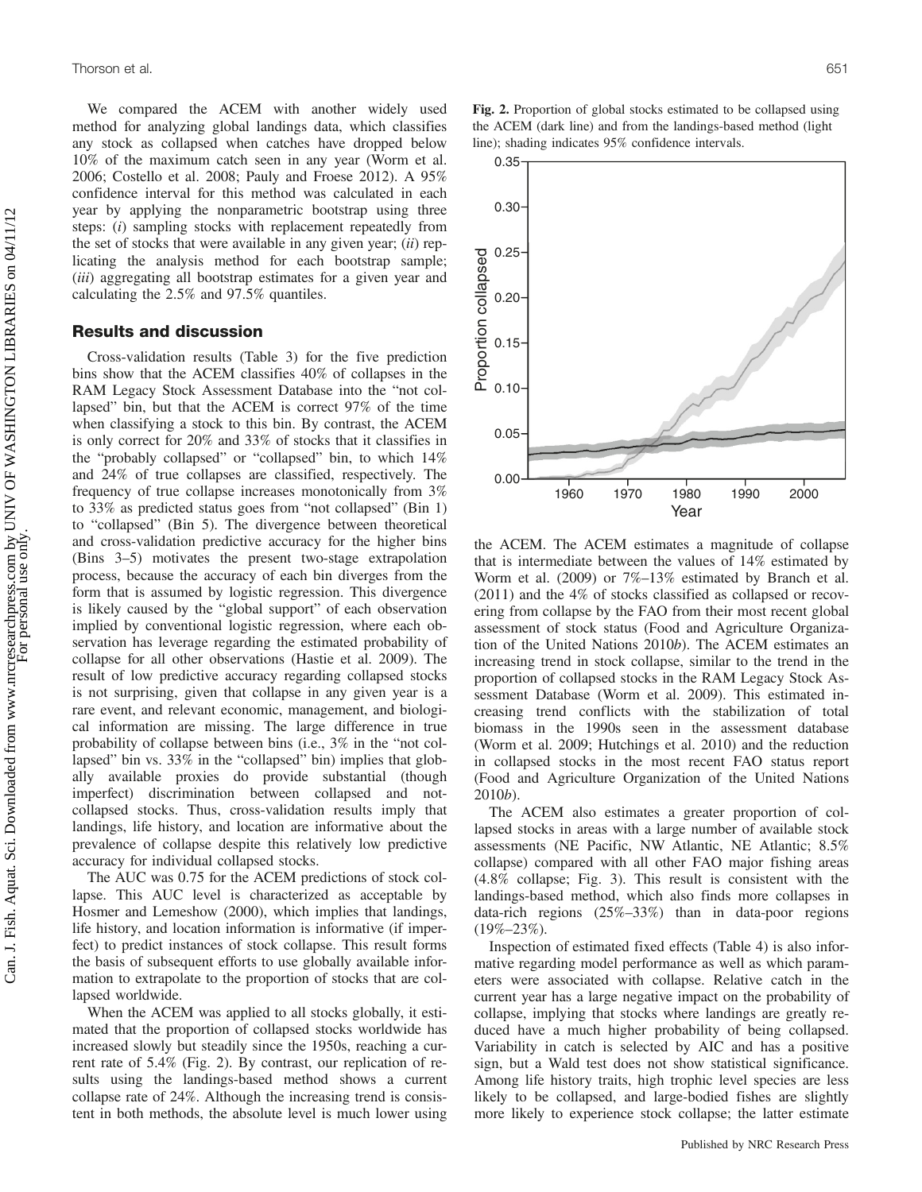We compared the ACEM with another widely used method for analyzing global landings data, which classifies any stock as collapsed when catches have dropped below 10% of the maximum catch seen in any year (Worm et al. 2006; Costello et al. 2008; Pauly and Froese 2012). A 95% confidence interval for this method was calculated in each year by applying the nonparametric bootstrap using three steps: (i) sampling stocks with replacement repeatedly from the set of stocks that were available in any given year;  $(ii)$  replicating the analysis method for each bootstrap sample; (*iii*) aggregating all bootstrap estimates for a given year and calculating the 2.5% and 97.5% quantiles.

## Results and discussion

Cross-validation results (Table 3) for the five prediction bins show that the ACEM classifies 40% of collapses in the RAM Legacy Stock Assessment Database into the "not collapsed" bin, but that the ACEM is correct 97% of the time when classifying a stock to this bin. By contrast, the ACEM is only correct for 20% and 33% of stocks that it classifies in the "probably collapsed" or "collapsed" bin, to which 14% and 24% of true collapses are classified, respectively. The frequency of true collapse increases monotonically from 3% to 33% as predicted status goes from "not collapsed" (Bin 1) to "collapsed" (Bin 5). The divergence between theoretical and cross-validation predictive accuracy for the higher bins (Bins 3–5) motivates the present two-stage extrapolation process, because the accuracy of each bin diverges from the form that is assumed by logistic regression. This divergence is likely caused by the "global support" of each observation implied by conventional logistic regression, where each observation has leverage regarding the estimated probability of collapse for all other observations (Hastie et al. 2009). The result of low predictive accuracy regarding collapsed stocks is not surprising, given that collapse in any given year is a rare event, and relevant economic, management, and biological information are missing. The large difference in true probability of collapse between bins (i.e., 3% in the "not collapsed" bin vs. 33% in the "collapsed" bin) implies that globally available proxies do provide substantial (though imperfect) discrimination between collapsed and notcollapsed stocks. Thus, cross-validation results imply that landings, life history, and location are informative about the prevalence of collapse despite this relatively low predictive accuracy for individual collapsed stocks.

The AUC was 0.75 for the ACEM predictions of stock collapse. This AUC level is characterized as acceptable by Hosmer and Lemeshow (2000), which implies that landings, life history, and location information is informative (if imperfect) to predict instances of stock collapse. This result forms the basis of subsequent efforts to use globally available information to extrapolate to the proportion of stocks that are collapsed worldwide.

When the ACEM was applied to all stocks globally, it estimated that the proportion of collapsed stocks worldwide has increased slowly but steadily since the 1950s, reaching a current rate of 5.4% (Fig. 2). By contrast, our replication of results using the landings-based method shows a current collapse rate of 24%. Although the increasing trend is consistent in both methods, the absolute level is much lower using

Fig. 2. Proportion of global stocks estimated to be collapsed using the ACEM (dark line) and from the landings-based method (light line); shading indicates 95% confidence intervals.



the ACEM. The ACEM estimates a magnitude of collapse that is intermediate between the values of 14% estimated by Worm et al. (2009) or 7%–13% estimated by Branch et al. (2011) and the 4% of stocks classified as collapsed or recovering from collapse by the FAO from their most recent global assessment of stock status (Food and Agriculture Organization of the United Nations 2010b). The ACEM estimates an increasing trend in stock collapse, similar to the trend in the proportion of collapsed stocks in the RAM Legacy Stock Assessment Database (Worm et al. 2009). This estimated increasing trend conflicts with the stabilization of total biomass in the 1990s seen in the assessment database (Worm et al. 2009; Hutchings et al. 2010) and the reduction in collapsed stocks in the most recent FAO status report (Food and Agriculture Organization of the United Nations 2010b).

The ACEM also estimates a greater proportion of collapsed stocks in areas with a large number of available stock assessments (NE Pacific, NW Atlantic, NE Atlantic; 8.5% collapse) compared with all other FAO major fishing areas (4.8% collapse; Fig. 3). This result is consistent with the landings-based method, which also finds more collapses in data-rich regions (25%–33%) than in data-poor regions  $(19\% - 23\%)$ .

Inspection of estimated fixed effects (Table 4) is also informative regarding model performance as well as which parameters were associated with collapse. Relative catch in the current year has a large negative impact on the probability of collapse, implying that stocks where landings are greatly reduced have a much higher probability of being collapsed. Variability in catch is selected by AIC and has a positive sign, but a Wald test does not show statistical significance. Among life history traits, high trophic level species are less likely to be collapsed, and large-bodied fishes are slightly more likely to experience stock collapse; the latter estimate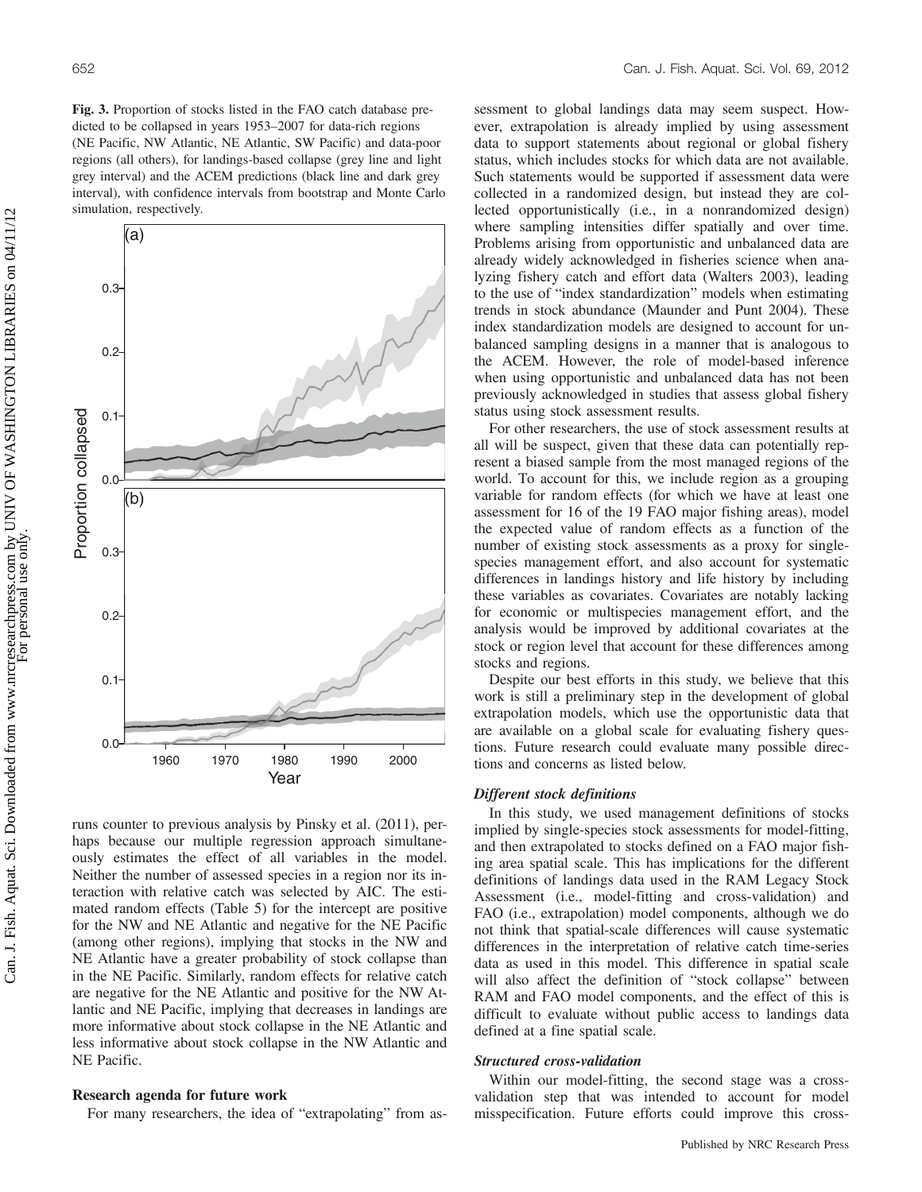Fig. 3. Proportion of stocks listed in the FAO catch database predicted to be collapsed in years 1953–2007 for data-rich regions (NE Pacific, NW Atlantic, NE Atlantic, SW Pacific) and data-poor regions (all others), for landings-based collapse (grey line and light grey interval) and the ACEM predictions (black line and dark grey interval), with confidence intervals from bootstrap and Monte Carlo simulation, respectively.



runs counter to previous analysis by Pinsky et al. (2011), perhaps because our multiple regression approach simultaneously estimates the effect of all variables in the model. Neither the number of assessed species in a region nor its interaction with relative catch was selected by AIC. The estimated random effects (Table 5) for the intercept are positive for the NW and NE Atlantic and negative for the NE Pacific (among other regions), implying that stocks in the NW and NE Atlantic have a greater probability of stock collapse than in the NE Pacific. Similarly, random effects for relative catch are negative for the NE Atlantic and positive for the NW Atlantic and NE Pacific, implying that decreases in landings are more informative about stock collapse in the NE Atlantic and less informative about stock collapse in the NW Atlantic and NE Pacific.

### Research agenda for future work

For many researchers, the idea of "extrapolating" from as-

sessment to global landings data may seem suspect. However, extrapolation is already implied by using assessment data to support statements about regional or global fishery status, which includes stocks for which data are not available. Such statements would be supported if assessment data were collected in a randomized design, but instead they are collected opportunistically (i.e., in a nonrandomized design) where sampling intensities differ spatially and over time. Problems arising from opportunistic and unbalanced data are already widely acknowledged in fisheries science when analyzing fishery catch and effort data (Walters 2003), leading to the use of "index standardization" models when estimating trends in stock abundance (Maunder and Punt 2004). These index standardization models are designed to account for unbalanced sampling designs in a manner that is analogous to the ACEM. However, the role of model-based inference when using opportunistic and unbalanced data has not been previously acknowledged in studies that assess global fishery status using stock assessment results.

For other researchers, the use of stock assessment results at all will be suspect, given that these data can potentially represent a biased sample from the most managed regions of the world. To account for this, we include region as a grouping variable for random effects (for which we have at least one assessment for 16 of the 19 FAO major fishing areas), model the expected value of random effects as a function of the number of existing stock assessments as a proxy for singlespecies management effort, and also account for systematic differences in landings history and life history by including these variables as covariates. Covariates are notably lacking for economic or multispecies management effort, and the analysis would be improved by additional covariates at the stock or region level that account for these differences among stocks and regions.

Despite our best efforts in this study, we believe that this work is still a preliminary step in the development of global extrapolation models, which use the opportunistic data that are available on a global scale for evaluating fishery questions. Future research could evaluate many possible directions and concerns as listed below.

## Different stock definitions

In this study, we used management definitions of stocks implied by single-species stock assessments for model-fitting, and then extrapolated to stocks defined on a FAO major fishing area spatial scale. This has implications for the different definitions of landings data used in the RAM Legacy Stock Assessment (i.e., model-fitting and cross-validation) and FAO (i.e., extrapolation) model components, although we do not think that spatial-scale differences will cause systematic differences in the interpretation of relative catch time-series data as used in this model. This difference in spatial scale will also affect the definition of "stock collapse" between RAM and FAO model components, and the effect of this is difficult to evaluate without public access to landings data defined at a fine spatial scale.

## Structured cross-validation

Within our model-fitting, the second stage was a crossvalidation step that was intended to account for model misspecification. Future efforts could improve this cross-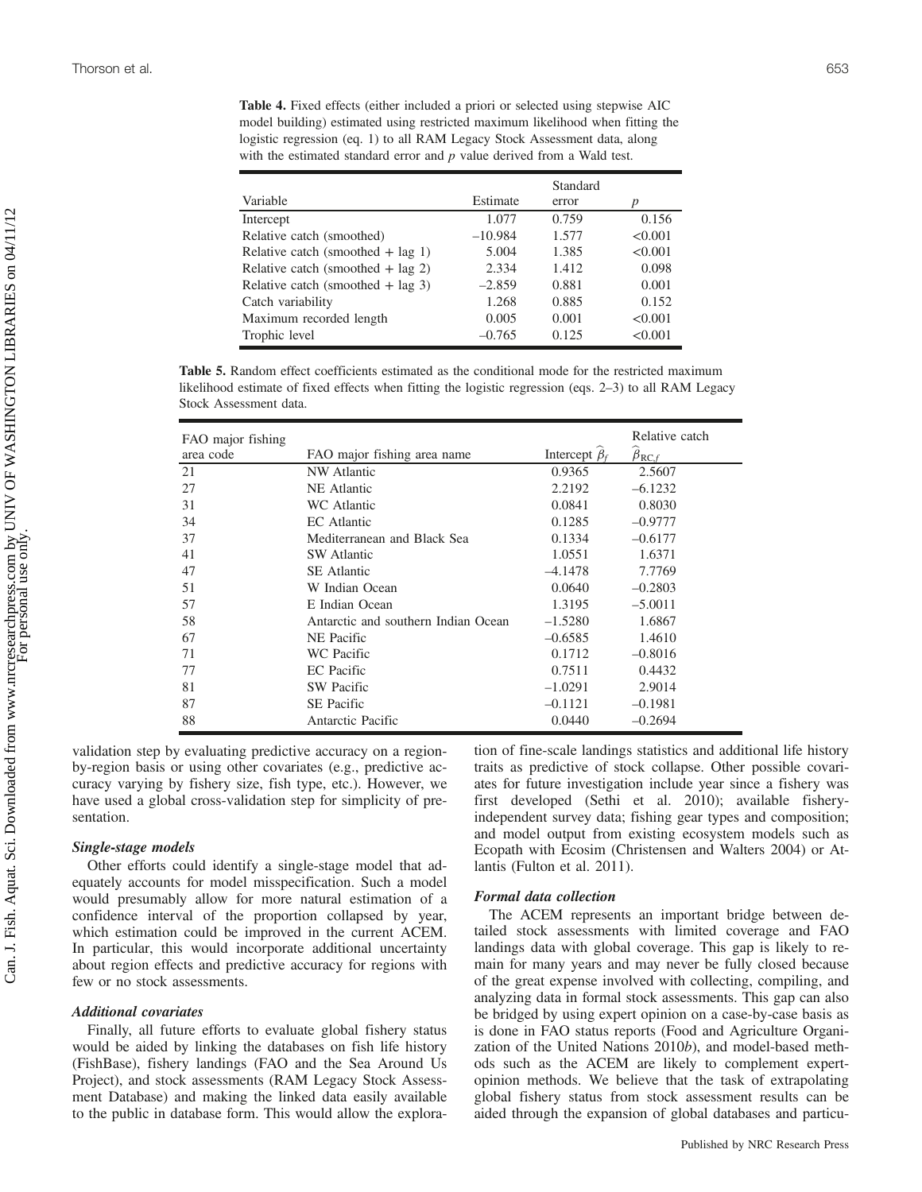Table 4. Fixed effects (either included a priori or selected using stepwise AIC model building) estimated using restricted maximum likelihood when fitting the logistic regression (eq. 1) to all RAM Legacy Stock Assessment data, along with the estimated standard error and  $p$  value derived from a Wald test.

| Variable                            | Estimate  | Standard<br>error | p       |
|-------------------------------------|-----------|-------------------|---------|
| Intercept                           | 1.077     | 0.759             | 0.156   |
| Relative catch (smoothed)           | $-10.984$ | 1.577             | < 0.001 |
| Relative catch (smoothed $+$ lag 1) | 5.004     | 1.385             | < 0.001 |
| Relative catch (smoothed $+$ lag 2) | 2.334     | 1.412             | 0.098   |
| Relative catch (smoothed $+$ lag 3) | $-2.859$  | 0.881             | 0.001   |
| Catch variability                   | 1.268     | 0.885             | 0.152   |
| Maximum recorded length             | 0.005     | 0.001             | < 0.001 |
| Trophic level                       | $-0.765$  | 0.125             | < 0.001 |

Table 5. Random effect coefficients estimated as the conditional mode for the restricted maximum likelihood estimate of fixed effects when fitting the logistic regression (eqs. 2–3) to all RAM Legacy Stock Assessment data.

| FAO major fishing |                                     |                     | Relative catch                               |
|-------------------|-------------------------------------|---------------------|----------------------------------------------|
| area code         | FAO major fishing area name         | Intercept $\beta_f$ | $\widehat{\boldsymbol{\beta}}_{\text{RC},f}$ |
| 21                | <b>NW</b> Atlantic                  | 0.9365              | 2.5607                                       |
| 27                | NE Atlantic                         | 2.2192              | $-6.1232$                                    |
| 31                | WC Atlantic                         | 0.0841              | 0.8030                                       |
| 34                | EC Atlantic                         | 0.1285              | $-0.9777$                                    |
| 37                | Mediterranean and Black Sea         | 0.1334              | $-0.6177$                                    |
| 41                | <b>SW</b> Atlantic                  | 1.0551              | 1.6371                                       |
| 47                | <b>SE</b> Atlantic                  | $-4.1478$           | 7.7769                                       |
| 51                | W Indian Ocean                      | 0.0640              | $-0.2803$                                    |
| 57                | E Indian Ocean                      | 1.3195              | $-5.0011$                                    |
| 58                | Antarctic and southern Indian Ocean | $-1.5280$           | 1.6867                                       |
| 67                | NE Pacific                          | $-0.6585$           | 1.4610                                       |
| 71                | WC Pacific                          | 0.1712              | $-0.8016$                                    |
| 77                | <b>EC</b> Pacific                   | 0.7511              | 0.4432                                       |
| 81                | <b>SW</b> Pacific                   | $-1.0291$           | 2.9014                                       |
| 87                | <b>SE</b> Pacific                   | $-0.1121$           | $-0.1981$                                    |
| 88                | Antarctic Pacific                   | 0.0440              | $-0.2694$                                    |

validation step by evaluating predictive accuracy on a regionby-region basis or using other covariates (e.g., predictive accuracy varying by fishery size, fish type, etc.). However, we have used a global cross-validation step for simplicity of presentation.

#### Single-stage models

Other efforts could identify a single-stage model that adequately accounts for model misspecification. Such a model would presumably allow for more natural estimation of a confidence interval of the proportion collapsed by year, which estimation could be improved in the current ACEM. In particular, this would incorporate additional uncertainty about region effects and predictive accuracy for regions with few or no stock assessments.

#### Additional covariates

Finally, all future efforts to evaluate global fishery status would be aided by linking the databases on fish life history (FishBase), fishery landings (FAO and the Sea Around Us Project), and stock assessments (RAM Legacy Stock Assessment Database) and making the linked data easily available to the public in database form. This would allow the exploration of fine-scale landings statistics and additional life history traits as predictive of stock collapse. Other possible covariates for future investigation include year since a fishery was first developed (Sethi et al. 2010); available fisheryindependent survey data; fishing gear types and composition; and model output from existing ecosystem models such as Ecopath with Ecosim (Christensen and Walters 2004) or Atlantis (Fulton et al. 2011).

#### Formal data collection

The ACEM represents an important bridge between detailed stock assessments with limited coverage and FAO landings data with global coverage. This gap is likely to remain for many years and may never be fully closed because of the great expense involved with collecting, compiling, and analyzing data in formal stock assessments. This gap can also be bridged by using expert opinion on a case-by-case basis as is done in FAO status reports (Food and Agriculture Organization of the United Nations 2010b), and model-based methods such as the ACEM are likely to complement expertopinion methods. We believe that the task of extrapolating global fishery status from stock assessment results can be aided through the expansion of global databases and particu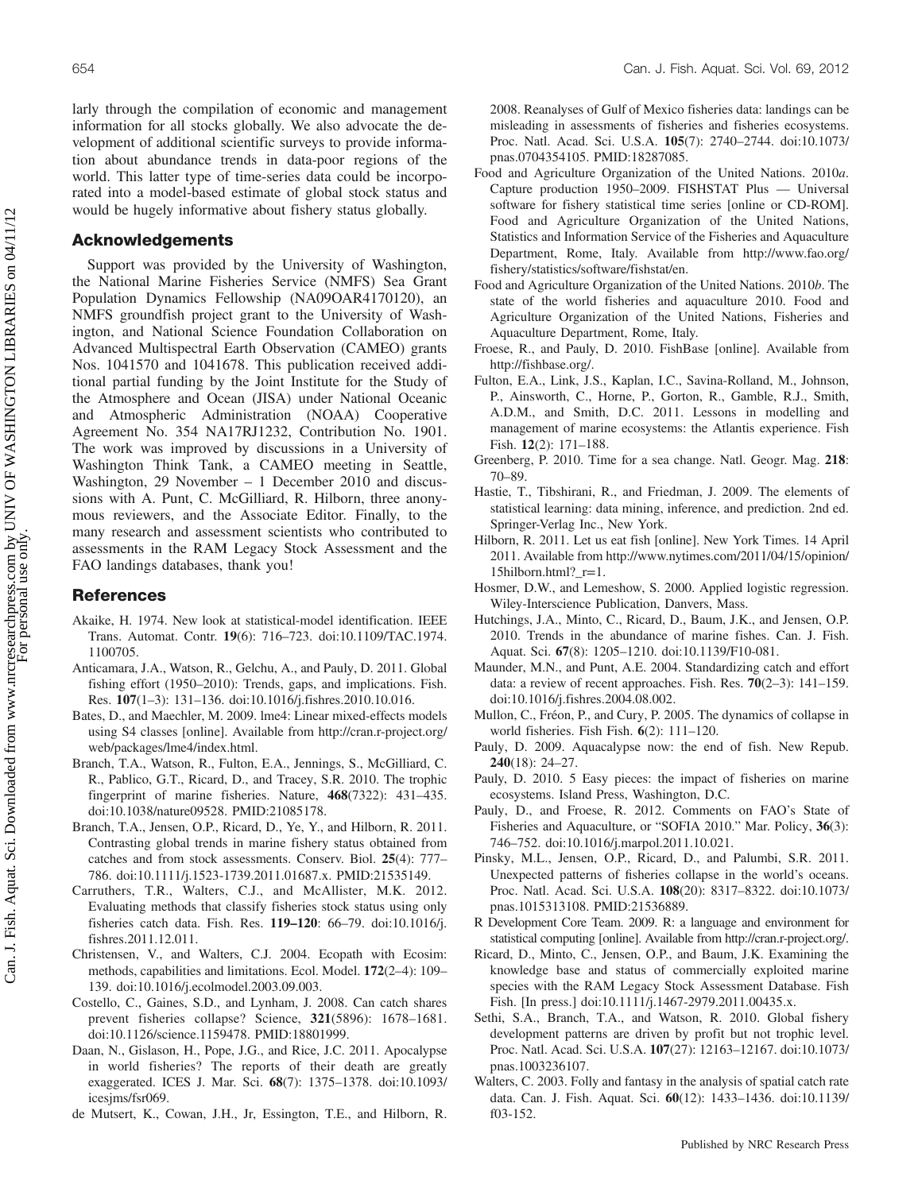larly through the compilation of economic and management information for all stocks globally. We also advocate the development of additional scientific surveys to provide information about abundance trends in data-poor regions of the world. This latter type of time-series data could be incorporated into a model-based estimate of global stock status and would be hugely informative about fishery status globally.

## Acknowledgements

Support was provided by the University of Washington, the National Marine Fisheries Service (NMFS) Sea Grant Population Dynamics Fellowship (NA09OAR4170120), an NMFS groundfish project grant to the University of Washington, and National Science Foundation Collaboration on Advanced Multispectral Earth Observation (CAMEO) grants Nos. 1041570 and 1041678. This publication received additional partial funding by the Joint Institute for the Study of the Atmosphere and Ocean (JISA) under National Oceanic and Atmospheric Administration (NOAA) Cooperative Agreement No. 354 NA17RJ1232, Contribution No. 1901. The work was improved by discussions in a University of Washington Think Tank, a CAMEO meeting in Seattle, Washington, 29 November – 1 December 2010 and discussions with A. Punt, C. McGilliard, R. Hilborn, three anonymous reviewers, and the Associate Editor. Finally, to the many research and assessment scientists who contributed to assessments in the RAM Legacy Stock Assessment and the FAO landings databases, thank you!

## References

- Akaike, H. 1974. New look at statistical-model identification. IEEE Trans. Automat. Contr. 19(6): 716–723. doi:10.1109/TAC.1974. 1100705.
- Anticamara, J.A., Watson, R., Gelchu, A., and Pauly, D. 2011. Global fishing effort (1950–2010): Trends, gaps, and implications. Fish. Res. 107(1–3): 131–136. doi:10.1016/j.fishres.2010.10.016.
- Bates, D., and Maechler, M. 2009. lme4: Linear mixed-effects models using S4 classes [online]. Available from http://cran.r-project.org/ web/packages/lme4/index.html.
- Branch, T.A., Watson, R., Fulton, E.A., Jennings, S., McGilliard, C. R., Pablico, G.T., Ricard, D., and Tracey, S.R. 2010. The trophic fingerprint of marine fisheries. Nature, 468(7322): 431–435. doi:10.1038/nature09528. PMID:21085178.
- Branch, T.A., Jensen, O.P., Ricard, D., Ye, Y., and Hilborn, R. 2011. Contrasting global trends in marine fishery status obtained from catches and from stock assessments. Conserv. Biol. 25(4): 777– 786. doi:10.1111/j.1523-1739.2011.01687.x. PMID:21535149.
- Carruthers, T.R., Walters, C.J., and McAllister, M.K. 2012. Evaluating methods that classify fisheries stock status using only fisheries catch data. Fish. Res. 119–120: 66–79. doi:10.1016/j. fishres.2011.12.011.
- Christensen, V., and Walters, C.J. 2004. Ecopath with Ecosim: methods, capabilities and limitations. Ecol. Model. 172(2–4): 109– 139. doi:10.1016/j.ecolmodel.2003.09.003.
- Costello, C., Gaines, S.D., and Lynham, J. 2008. Can catch shares prevent fisheries collapse? Science, 321(5896): 1678–1681. doi:10.1126/science.1159478. PMID:18801999.
- Daan, N., Gislason, H., Pope, J.G., and Rice, J.C. 2011. Apocalypse in world fisheries? The reports of their death are greatly exaggerated. ICES J. Mar. Sci. 68(7): 1375–1378. doi:10.1093/ icesjms/fsr069.
- de Mutsert, K., Cowan, J.H., Jr, Essington, T.E., and Hilborn, R.

2008. Reanalyses of Gulf of Mexico fisheries data: landings can be misleading in assessments of fisheries and fisheries ecosystems. Proc. Natl. Acad. Sci. U.S.A. 105(7): 2740–2744. doi:10.1073/ pnas.0704354105. PMID:18287085.

- Food and Agriculture Organization of the United Nations. 2010a. Capture production 1950–2009. FISHSTAT Plus — Universal software for fishery statistical time series [online or CD-ROM]. Food and Agriculture Organization of the United Nations, Statistics and Information Service of the Fisheries and Aquaculture Department, Rome, Italy. Available from http://www.fao.org/ fishery/statistics/software/fishstat/en.
- Food and Agriculture Organization of the United Nations. 2010b. The state of the world fisheries and aquaculture 2010. Food and Agriculture Organization of the United Nations, Fisheries and Aquaculture Department, Rome, Italy.
- Froese, R., and Pauly, D. 2010. FishBase [online]. Available from http://fishbase.org/.
- Fulton, E.A., Link, J.S., Kaplan, I.C., Savina-Rolland, M., Johnson, P., Ainsworth, C., Horne, P., Gorton, R., Gamble, R.J., Smith, A.D.M., and Smith, D.C. 2011. Lessons in modelling and management of marine ecosystems: the Atlantis experience. Fish Fish. 12(2): 171–188.
- Greenberg, P. 2010. Time for a sea change. Natl. Geogr. Mag. 218: 70–89.
- Hastie, T., Tibshirani, R., and Friedman, J. 2009. The elements of statistical learning: data mining, inference, and prediction. 2nd ed. Springer-Verlag Inc., New York.
- Hilborn, R. 2011. Let us eat fish [online]. New York Times. 14 April 2011. Available from http://www.nytimes.com/2011/04/15/opinion/ 15hilborn.html?\_r=1.
- Hosmer, D.W., and Lemeshow, S. 2000. Applied logistic regression. Wiley-Interscience Publication, Danvers, Mass.
- Hutchings, J.A., Minto, C., Ricard, D., Baum, J.K., and Jensen, O.P. 2010. Trends in the abundance of marine fishes. Can. J. Fish. Aquat. Sci. 67(8): 1205–1210. doi:10.1139/F10-081.
- Maunder, M.N., and Punt, A.E. 2004. Standardizing catch and effort data: a review of recent approaches. Fish. Res. 70(2–3): 141–159. doi:10.1016/j.fishres.2004.08.002.
- Mullon, C., Fréon, P., and Cury, P. 2005. The dynamics of collapse in world fisheries. Fish Fish. 6(2): 111–120.
- Pauly, D. 2009. Aquacalypse now: the end of fish. New Repub. 240(18): 24–27.
- Pauly, D. 2010. 5 Easy pieces: the impact of fisheries on marine ecosystems. Island Press, Washington, D.C.
- Pauly, D., and Froese, R. 2012. Comments on FAO's State of Fisheries and Aquaculture, or "SOFIA 2010." Mar. Policy, 36(3): 746–752. doi:10.1016/j.marpol.2011.10.021.
- Pinsky, M.L., Jensen, O.P., Ricard, D., and Palumbi, S.R. 2011. Unexpected patterns of fisheries collapse in the world's oceans. Proc. Natl. Acad. Sci. U.S.A. 108(20): 8317–8322. doi:10.1073/ pnas.1015313108. PMID:21536889.
- R Development Core Team. 2009. R: a language and environment for statistical computing [online]. Available from http://cran.r-project.org/.
- Ricard, D., Minto, C., Jensen, O.P., and Baum, J.K. Examining the knowledge base and status of commercially exploited marine species with the RAM Legacy Stock Assessment Database. Fish Fish. [In press.] doi:10.1111/j.1467-2979.2011.00435.x.
- Sethi, S.A., Branch, T.A., and Watson, R. 2010. Global fishery development patterns are driven by profit but not trophic level. Proc. Natl. Acad. Sci. U.S.A. 107(27): 12163–12167. doi:10.1073/ pnas.1003236107.
- Walters, C. 2003. Folly and fantasy in the analysis of spatial catch rate data. Can. J. Fish. Aquat. Sci. 60(12): 1433–1436. doi:10.1139/ f03-152.